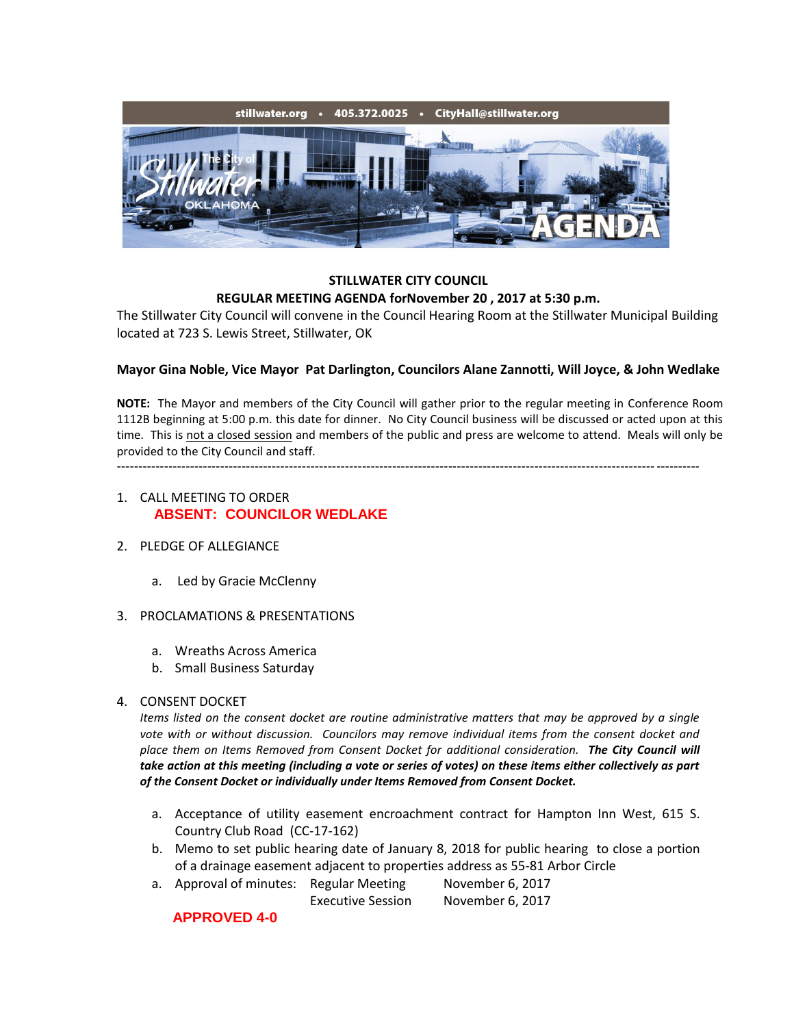

### **STILLWATER CITY COUNCIL REGULAR MEETING AGENDA forNovember 20 , 2017 at 5:30 p.m.**

The Stillwater City Council will convene in the Council Hearing Room at the Stillwater Municipal Building located at 723 S. Lewis Street, Stillwater, OK

# **Mayor Gina Noble, Vice Mayor Pat Darlington, Councilors Alane Zannotti, Will Joyce, & John Wedlake**

**NOTE:** The Mayor and members of the City Council will gather prior to the regular meeting in Conference Room 1112B beginning at 5:00 p.m. this date for dinner. No City Council business will be discussed or acted upon at this time. This is not a closed session and members of the public and press are welcome to attend. Meals will only be provided to the City Council and staff. ---------------------------------------------------------------------------------------------------------------------------------------

# 1. CALL MEETING TO ORDER **ABSENT: COUNCILOR WEDLAKE**

- 2. PLEDGE OF ALLEGIANCE
	- a. Led by Gracie McClenny
- 3. PROCLAMATIONS & PRESENTATIONS
	- a. Wreaths Across America
	- b. Small Business Saturday
- 4. CONSENT DOCKET

*Items listed on the consent docket are routine administrative matters that may be approved by a single vote with or without discussion. Councilors may remove individual items from the consent docket and place them on Items Removed from Consent Docket for additional consideration. The City Council will take action at this meeting (including a vote or series of votes) on these items either collectively as part of the Consent Docket or individually under Items Removed from Consent Docket.*

- a. Acceptance of utility easement encroachment contract for Hampton Inn West, 615 S. Country Club Road (CC-17-162)
- b. Memo to set public hearing date of January 8, 2018 for public hearing to close a portion of a drainage easement adjacent to properties address as 55-81 Arbor Circle
- a. Approval of minutes: Regular Meeting November 6, 2017 Executive Session November 6, 2017

# **APPROVED 4-0**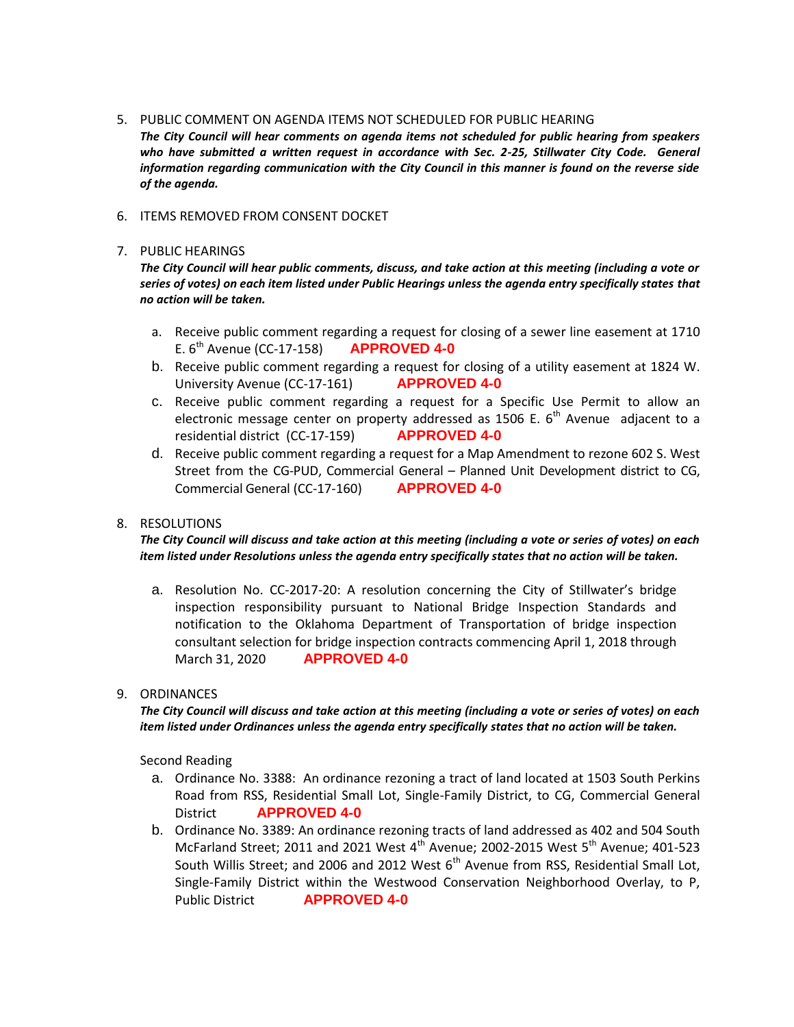#### 5. PUBLIC COMMENT ON AGENDA ITEMS NOT SCHEDULED FOR PUBLIC HEARING

*The City Council will hear comments on agenda items not scheduled for public hearing from speakers*  who have submitted a written request in accordance with Sec. 2-25, Stillwater City Code. General *information regarding communication with the City Council in this manner is found on the reverse side of the agenda.*

#### 6. ITEMS REMOVED FROM CONSENT DOCKET

#### 7. PUBLIC HEARINGS

*The City Council will hear public comments, discuss, and take action at this meeting (including a vote or series of votes) on each item listed under Public Hearings unless the agenda entry specifically states that no action will be taken.*

- a. Receive public comment regarding a request for closing of a sewer line easement at 1710 E. 6th Avenue (CC-17-158) **APPROVED 4-0**
- b. Receive public comment regarding a request for closing of a utility easement at 1824 W. University Avenue (CC-17-161) **APPROVED 4-0**
- c. Receive public comment regarding a request for a Specific Use Permit to allow an electronic message center on property addressed as 1506 E.  $6<sup>th</sup>$  Avenue adjacent to a residential district (CC-17-159) **APPROVED 4-0**
- d. Receive public comment regarding a request for a Map Amendment to rezone 602 S. West Street from the CG-PUD, Commercial General – Planned Unit Development district to CG, Commercial General (CC-17-160) **APPROVED 4-0**

# 8. RESOLUTIONS

### *The City Council will discuss and take action at this meeting (including a vote or series of votes) on each item listed under Resolutions unless the agenda entry specifically states that no action will be taken.*

a. Resolution No. CC-2017-20: A resolution concerning the City of Stillwater's bridge inspection responsibility pursuant to National Bridge Inspection Standards and notification to the Oklahoma Department of Transportation of bridge inspection consultant selection for bridge inspection contracts commencing April 1, 2018 through March 31, 2020 **APPROVED 4-0**

# 9. ORDINANCES

*The City Council will discuss and take action at this meeting (including a vote or series of votes) on each item listed under Ordinances unless the agenda entry specifically states that no action will be taken.*

Second Reading

- a. Ordinance No. 3388: An ordinance rezoning a tract of land located at 1503 South Perkins Road from RSS, Residential Small Lot, Single-Family District, to CG, Commercial General District **APPROVED 4-0**
- b. Ordinance No. 3389: An ordinance rezoning tracts of land addressed as 402 and 504 South McFarland Street; 2011 and 2021 West  $4<sup>th</sup>$  Avenue; 2002-2015 West  $5<sup>th</sup>$  Avenue; 401-523 South Willis Street; and 2006 and 2012 West  $6<sup>th</sup>$  Avenue from RSS, Residential Small Lot, Single-Family District within the Westwood Conservation Neighborhood Overlay, to P, Public District **APPROVED 4-0**